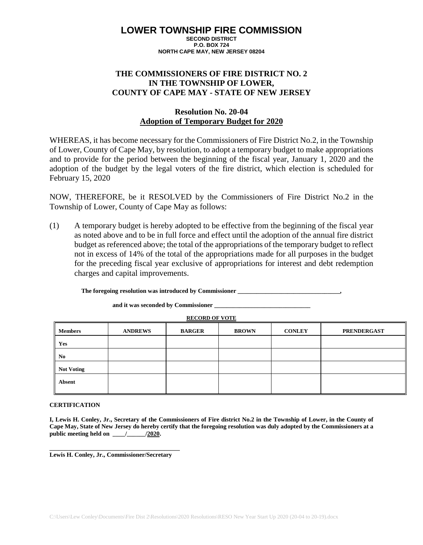# **LOWER TOWNSHIP FIRE COMMISSION**

**SECOND DISTRICT P.O. BOX 724 NORTH CAPE MAY, NEW JERSEY 08204**

### **THE COMMISSIONERS OF FIRE DISTRICT NO. 2 IN THE TOWNSHIP OF LOWER, COUNTY OF CAPE MAY - STATE OF NEW JERSEY**

### **Resolution No. 20-04 Adoption of Temporary Budget for 2020**

WHEREAS, it has become necessary for the Commissioners of Fire District No.2, in the Township of Lower, County of Cape May, by resolution, to adopt a temporary budget to make appropriations and to provide for the period between the beginning of the fiscal year, January 1, 2020 and the adoption of the budget by the legal voters of the fire district, which election is scheduled for February 15, 2020

NOW, THEREFORE, be it RESOLVED by the Commissioners of Fire District No.2 in the Township of Lower, County of Cape May as follows:

(1) A temporary budget is hereby adopted to be effective from the beginning of the fiscal year as noted above and to be in full force and effect until the adoption of the annual fire district budget as referenced above; the total of the appropriations of the temporary budget to reflect not in excess of 14% of the total of the appropriations made for all purposes in the budget for the preceding fiscal year exclusive of appropriations for interest and debt redemption charges and capital improvements.

**The foregoing resolution was introduced by Commissioner \_\_\_\_\_\_\_\_\_\_\_\_\_\_\_\_\_\_\_\_\_\_\_\_\_\_\_\_\_\_\_\_\_,**

**and it was seconded by Commissioner \_\_\_\_\_\_\_\_\_\_\_\_\_\_\_\_\_\_\_\_\_\_\_\_\_\_\_\_\_\_\_**

**RECORD OF VOTE**

| <b>Members</b>    | <b>ANDREWS</b> | <b>BARGER</b> | <b>BROWN</b> | <b>CONLEY</b> | <b>PRENDERGAST</b> |
|-------------------|----------------|---------------|--------------|---------------|--------------------|
| Yes               |                |               |              |               |                    |
| N <sub>0</sub>    |                |               |              |               |                    |
| <b>Not Voting</b> |                |               |              |               |                    |
| Absent            |                |               |              |               |                    |

### **CERTIFICATION**

| I, Lewis H. Conley, Jr., Secretary of the Commissioners of Fire district No.2 in the Township of Lower, in the County of |                            |  |  |  |
|--------------------------------------------------------------------------------------------------------------------------|----------------------------|--|--|--|
| Cape May, State of New Jersey do hereby certify that the foregoing resolution was duly adopted by the Commissioners at a |                            |  |  |  |
| public meeting held on                                                                                                   | /2020.<br>$\mathbf{m} = I$ |  |  |  |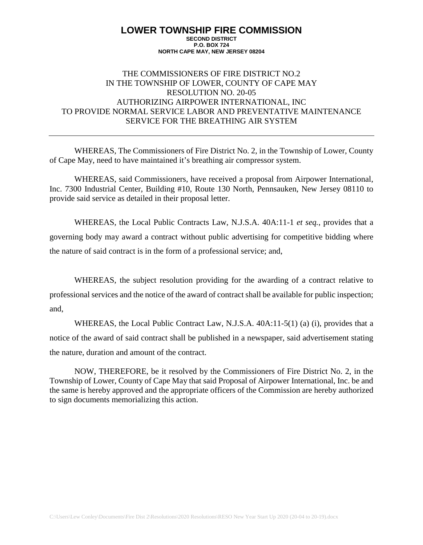# THE COMMISSIONERS OF FIRE DISTRICT NO.2 IN THE TOWNSHIP OF LOWER, COUNTY OF CAPE MAY RESOLUTION NO. 20-05 AUTHORIZING AIRPOWER INTERNATIONAL, INC TO PROVIDE NORMAL SERVICE LABOR AND PREVENTATIVE MAINTENANCE SERVICE FOR THE BREATHING AIR SYSTEM

WHEREAS, The Commissioners of Fire District No. 2, in the Township of Lower, County of Cape May, need to have maintained it's breathing air compressor system.

WHEREAS, said Commissioners, have received a proposal from Airpower International, Inc. 7300 Industrial Center, Building #10, Route 130 North, Pennsauken, New Jersey 08110 to provide said service as detailed in their proposal letter.

WHEREAS, the Local Public Contracts Law, N.J.S.A. 40A:11-1 *et seq.*, provides that a governing body may award a contract without public advertising for competitive bidding where the nature of said contract is in the form of a professional service; and,

WHEREAS, the subject resolution providing for the awarding of a contract relative to professional services and the notice of the award of contract shall be available for public inspection; and,

WHEREAS, the Local Public Contract Law, N.J.S.A. 40A:11-5(1) (a) (i), provides that a notice of the award of said contract shall be published in a newspaper, said advertisement stating the nature, duration and amount of the contract.

NOW, THEREFORE, be it resolved by the Commissioners of Fire District No. 2, in the Township of Lower, County of Cape May that said Proposal of Airpower International, Inc. be and the same is hereby approved and the appropriate officers of the Commission are hereby authorized to sign documents memorializing this action.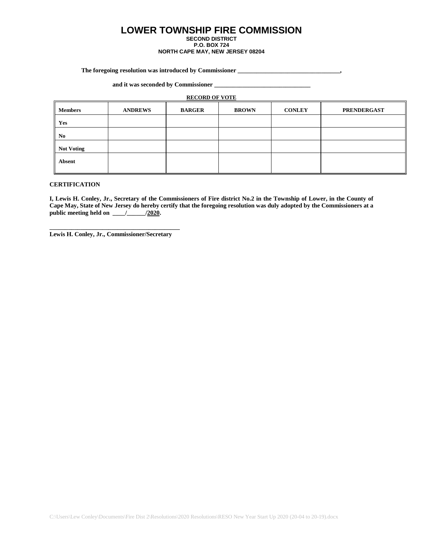# **LOWER TOWNSHIP FIRE COMMISSION**

**SECOND DISTRICT P.O. BOX 724**

#### **NORTH CAPE MAY, NEW JERSEY 08204**

**The foregoing resolution was introduced by Commissioner \_\_\_\_\_\_\_\_\_\_\_\_\_\_\_\_\_\_\_\_\_\_\_\_\_\_\_\_\_\_\_\_\_,**

**and it was seconded by Commissioner \_\_\_\_\_\_\_\_\_\_\_\_\_\_\_\_\_\_\_\_\_\_\_\_\_\_\_\_\_\_\_**

#### **RECORD OF VOTE**

| <b>Members</b>    | <b>ANDREWS</b> | <b>BARGER</b> | <b>BROWN</b> | <b>CONLEY</b> | <b>PRENDERGAST</b> |
|-------------------|----------------|---------------|--------------|---------------|--------------------|
| Yes               |                |               |              |               |                    |
| N <sub>0</sub>    |                |               |              |               |                    |
| <b>Not Voting</b> |                |               |              |               |                    |
| Absent            |                |               |              |               |                    |

#### **CERTIFICATION**

**I, Lewis H. Conley, Jr., Secretary of the Commissioners of Fire district No.2 in the Township of Lower, in the County of Cape May, State of New Jersey do hereby certify that the foregoing resolution was duly adopted by the Commissioners at a public meeting held on \_\_\_\_/\_\_\_\_\_\_/2020.**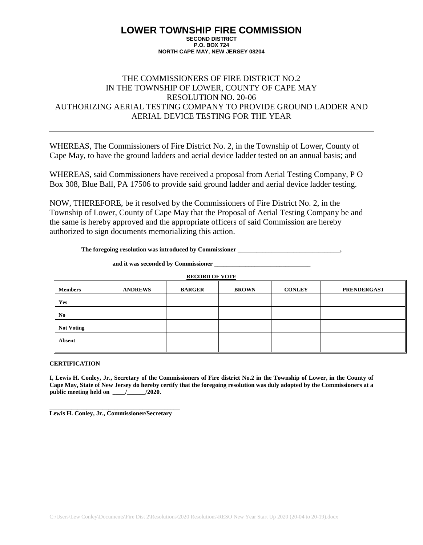### THE COMMISSIONERS OF FIRE DISTRICT NO.2 IN THE TOWNSHIP OF LOWER, COUNTY OF CAPE MAY RESOLUTION NO. 20-06 AUTHORIZING AERIAL TESTING COMPANY TO PROVIDE GROUND LADDER AND AERIAL DEVICE TESTING FOR THE YEAR

WHEREAS, The Commissioners of Fire District No. 2, in the Township of Lower, County of Cape May, to have the ground ladders and aerial device ladder tested on an annual basis; and

WHEREAS, said Commissioners have received a proposal from Aerial Testing Company, P O Box 308, Blue Ball, PA 17506 to provide said ground ladder and aerial device ladder testing.

NOW, THEREFORE, be it resolved by the Commissioners of Fire District No. 2, in the Township of Lower, County of Cape May that the Proposal of Aerial Testing Company be and the same is hereby approved and the appropriate officers of said Commission are hereby authorized to sign documents memorializing this action.

**The foregoing resolution was introduced by Commissioner \_\_\_\_\_\_\_\_\_\_\_\_\_\_\_\_\_\_\_\_\_\_\_\_\_\_\_\_\_\_\_\_\_,**

and it was seconded by Commissioner

**RECORD OF VOTE**

| <b>Members</b>          | <b>ANDREWS</b> | <b>BARGER</b> | <b>BROWN</b> | <b>CONLEY</b> | <b>PRENDERGAST</b> |
|-------------------------|----------------|---------------|--------------|---------------|--------------------|
| Yes                     |                |               |              |               |                    |
| I<br>No                 |                |               |              |               |                    |
| <b>Not Voting</b><br>II |                |               |              |               |                    |
| Absent                  |                |               |              |               |                    |

**CERTIFICATION**

**I, Lewis H. Conley, Jr., Secretary of the Commissioners of Fire district No.2 in the Township of Lower, in the County of Cape May, State of New Jersey do hereby certify that the foregoing resolution was duly adopted by the Commissioners at a public meeting held on \_\_\_\_/\_\_\_\_\_\_/2020.**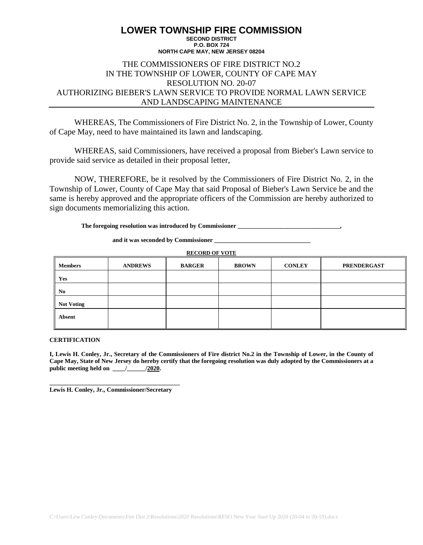#### **LOWER TOWNSHIP FIRE COMMISSION SECOND DISTRICT P.O. BOX 724**

### **NORTH CAPE MAY, NEW JERSEY 08204**

# THE COMMISSIONERS OF FIRE DISTRICT NO.2 IN THE TOWNSHIP OF LOWER, COUNTY OF CAPE MAY RESOLUTION NO. 20-07 AUTHORIZING BIEBER'S LAWN SERVICE TO PROVIDE NORMAL LAWN SERVICE AND LANDSCAPING MAINTENANCE

WHEREAS, The Commissioners of Fire District No. 2, in the Township of Lower, County of Cape May, need to have maintained its lawn and landscaping.

WHEREAS, said Commissioners, have received a proposal from Bieber's Lawn service to provide said service as detailed in their proposal letter,

NOW, THEREFORE, be it resolved by the Commissioners of Fire District No. 2, in the Township of Lower, County of Cape May that said Proposal of Bieber's Lawn Service be and the same is hereby approved and the appropriate officers of the Commission are hereby authorized to sign documents memorializing this action.

The foregoing resolution was introduced by Commissioner

**and it was seconded by Commissioner \_\_\_\_\_\_\_\_\_\_\_\_\_\_\_\_\_\_\_\_\_\_\_\_\_\_\_\_\_\_\_**

**RECORD OF VOTE**

| <b>Members</b>    | <b>ANDREWS</b> | <b>BARGER</b> | <b>BROWN</b> | <b>CONLEY</b> | <b>PRENDERGAST</b> |
|-------------------|----------------|---------------|--------------|---------------|--------------------|
| Yes               |                |               |              |               |                    |
| No                |                |               |              |               |                    |
| <b>Not Voting</b> |                |               |              |               |                    |
| Absent            |                |               |              |               |                    |

#### **CERTIFICATION**

**I, Lewis H. Conley, Jr., Secretary of the Commissioners of Fire district No.2 in the Township of Lower, in the County of Cape May, State of New Jersey do hereby certify that the foregoing resolution was duly adopted by the Commissioners at a public meeting held on \_\_\_\_/\_\_\_\_\_\_/2020.**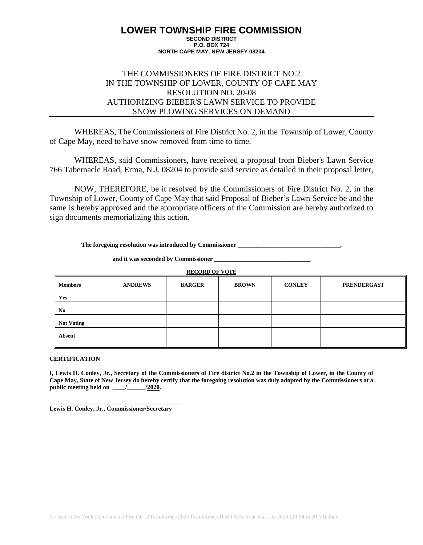### THE COMMISSIONERS OF FIRE DISTRICT NO.2 IN THE TOWNSHIP OF LOWER, COUNTY OF CAPE MAY RESOLUTION NO. 20-08 AUTHORIZING BIEBER'S LAWN SERVICE TO PROVIDE SNOW PLOWING SERVICES ON DEMAND

WHEREAS, The Commissioners of Fire District No. 2, in the Township of Lower, County of Cape May, need to have snow removed from time to time.

WHEREAS, said Commissioners, have received a proposal from Bieber's Lawn Service 766 Tabernacle Road, Erma, N.J. 08204 to provide said service as detailed in their proposal letter,

NOW, THEREFORE, be it resolved by the Commissioners of Fire District No. 2, in the Township of Lower, County of Cape May that said Proposal of Bieber's Lawn Service be and the same is hereby approved and the appropriate officers of the Commission are hereby authorized to sign documents memorializing this action.

**The foregoing resolution was introduced by Commissioner \_\_\_\_\_\_\_\_\_\_\_\_\_\_\_\_\_\_\_\_\_\_\_\_\_\_\_\_\_\_\_\_\_,**

**and it was seconded by Commissioner \_\_\_\_\_\_\_\_\_\_\_\_\_\_\_\_\_\_\_\_\_\_\_\_\_\_\_\_\_\_\_**

**RECORD OF VOTE**

| <b>Members</b>    | <b>ANDREWS</b> | <b>BARGER</b> | <b>BROWN</b> | <b>CONLEY</b> | <b>PRENDERGAST</b> |
|-------------------|----------------|---------------|--------------|---------------|--------------------|
| Yes               |                |               |              |               |                    |
| N <sub>0</sub>    |                |               |              |               |                    |
| <b>Not Voting</b> |                |               |              |               |                    |
| <b>Absent</b>     |                |               |              |               |                    |

#### **CERTIFICATION**

**I, Lewis H. Conley, Jr., Secretary of the Commissioners of Fire district No.2 in the Township of Lower, in the County of Cape May, State of New Jersey do hereby certify that the foregoing resolution was duly adopted by the Commissioners at a public meeting held on \_\_\_\_/\_\_\_\_\_\_/2020.**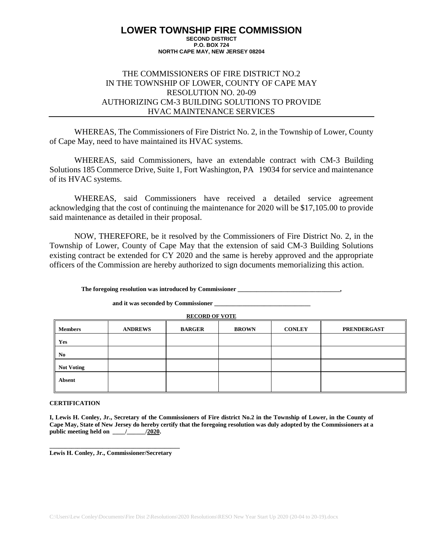### THE COMMISSIONERS OF FIRE DISTRICT NO.2 IN THE TOWNSHIP OF LOWER, COUNTY OF CAPE MAY RESOLUTION NO. 20-09 AUTHORIZING CM-3 BUILDING SOLUTIONS TO PROVIDE HVAC MAINTENANCE SERVICES

WHEREAS, The Commissioners of Fire District No. 2, in the Township of Lower, County of Cape May, need to have maintained its HVAC systems.

WHEREAS, said Commissioners, have an extendable contract with CM-3 Building Solutions 185 Commerce Drive, Suite 1, Fort Washington, PA 19034 for service and maintenance of its HVAC systems.

WHEREAS, said Commissioners have received a detailed service agreement acknowledging that the cost of continuing the maintenance for 2020 will be \$17,105.00 to provide said maintenance as detailed in their proposal.

NOW, THEREFORE, be it resolved by the Commissioners of Fire District No. 2, in the Township of Lower, County of Cape May that the extension of said CM-3 Building Solutions existing contract be extended for CY 2020 and the same is hereby approved and the appropriate officers of the Commission are hereby authorized to sign documents memorializing this action.

**The foregoing resolution was introduced by Commissioner \_\_\_\_\_\_\_\_\_\_\_\_\_\_\_\_\_\_\_\_\_\_\_\_\_\_\_\_\_\_\_\_\_,**

#### **and it was seconded by Commissioner \_\_\_\_\_\_\_\_\_\_\_\_\_\_\_\_\_\_\_\_\_\_\_\_\_\_\_\_\_\_\_**

**RECORD OF VOTE**

| <b>Members</b>    | <b>ANDREWS</b> | <b>BARGER</b> | <b>BROWN</b> | <b>CONLEY</b> | <b>PRENDERGAST</b> |
|-------------------|----------------|---------------|--------------|---------------|--------------------|
| Yes               |                |               |              |               |                    |
| No                |                |               |              |               |                    |
| <b>Not Voting</b> |                |               |              |               |                    |
| Absent            |                |               |              |               |                    |

#### **CERTIFICATION**

**I, Lewis H. Conley, Jr., Secretary of the Commissioners of Fire district No.2 in the Township of Lower, in the County of Cape May, State of New Jersey do hereby certify that the foregoing resolution was duly adopted by the Commissioners at a public meeting held on \_\_\_\_/\_\_\_\_\_\_/2020.**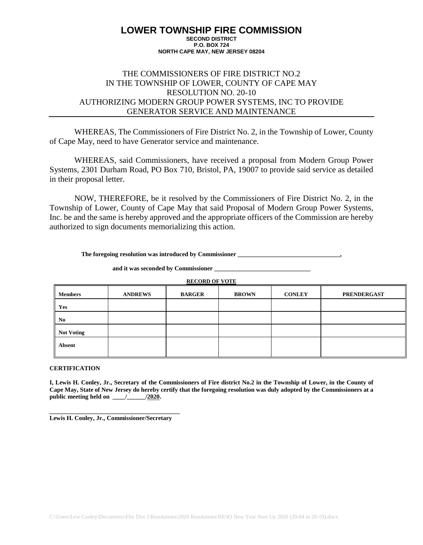### THE COMMISSIONERS OF FIRE DISTRICT NO.2 IN THE TOWNSHIP OF LOWER, COUNTY OF CAPE MAY RESOLUTION NO. 20-10 AUTHORIZING MODERN GROUP POWER SYSTEMS, INC TO PROVIDE GENERATOR SERVICE AND MAINTENANCE

WHEREAS, The Commissioners of Fire District No. 2, in the Township of Lower, County of Cape May, need to have Generator service and maintenance.

WHEREAS, said Commissioners, have received a proposal from Modern Group Power Systems, 2301 Durham Road, PO Box 710, Bristol, PA, 19007 to provide said service as detailed in their proposal letter.

NOW, THEREFORE, be it resolved by the Commissioners of Fire District No. 2, in the Township of Lower, County of Cape May that said Proposal of Modern Group Power Systems, Inc. be and the same is hereby approved and the appropriate officers of the Commission are hereby authorized to sign documents memorializing this action.

**The foregoing resolution was introduced by Commissioner \_\_\_\_\_\_\_\_\_\_\_\_\_\_\_\_\_\_\_\_\_\_\_\_\_\_\_\_\_\_\_\_\_,**

and it was seconded by Commissioner

**RECORD OF VOTE**

| <b>Members</b>    | <b>ANDREWS</b> | <b>BARGER</b> | <b>BROWN</b> | <b>CONLEY</b> | <b>PRENDERGAST</b> |
|-------------------|----------------|---------------|--------------|---------------|--------------------|
| Yes               |                |               |              |               |                    |
| No                |                |               |              |               |                    |
| <b>Not Voting</b> |                |               |              |               |                    |
| <b>Absent</b>     |                |               |              |               |                    |

#### **CERTIFICATION**

**I, Lewis H. Conley, Jr., Secretary of the Commissioners of Fire district No.2 in the Township of Lower, in the County of Cape May, State of New Jersey do hereby certify that the foregoing resolution was duly adopted by the Commissioners at a public meeting held on \_\_\_\_/\_\_\_\_\_\_/2020.**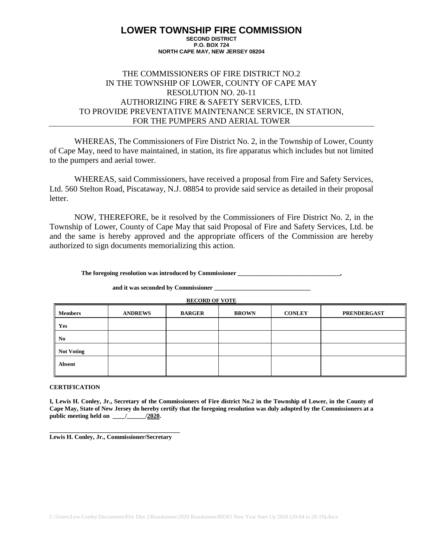### THE COMMISSIONERS OF FIRE DISTRICT NO.2 IN THE TOWNSHIP OF LOWER, COUNTY OF CAPE MAY RESOLUTION NO. 20-11 AUTHORIZING FIRE & SAFETY SERVICES, LTD. TO PROVIDE PREVENTATIVE MAINTENANCE SERVICE, IN STATION, FOR THE PUMPERS AND AERIAL TOWER

WHEREAS, The Commissioners of Fire District No. 2, in the Township of Lower, County of Cape May, need to have maintained, in station, its fire apparatus which includes but not limited to the pumpers and aerial tower.

WHEREAS, said Commissioners, have received a proposal from Fire and Safety Services, Ltd. 560 Stelton Road, Piscataway, N.J. 08854 to provide said service as detailed in their proposal letter.

NOW, THEREFORE, be it resolved by the Commissioners of Fire District No. 2, in the Township of Lower, County of Cape May that said Proposal of Fire and Safety Services, Ltd. be and the same is hereby approved and the appropriate officers of the Commission are hereby authorized to sign documents memorializing this action.

**The foregoing resolution was introduced by Commissioner \_\_\_\_\_\_\_\_\_\_\_\_\_\_\_\_\_\_\_\_\_\_\_\_\_\_\_\_\_\_\_\_\_,**

#### **and it was seconded by Commissioner \_\_\_\_\_\_\_\_\_\_\_\_\_\_\_\_\_\_\_\_\_\_\_\_\_\_\_\_\_\_\_**

**RECORD OF VOTE**

| <b>Members</b>    | <b>ANDREWS</b> | <b>BARGER</b> | <b>BROWN</b> | <b>CONLEY</b> | <b>PRENDERGAST</b> |
|-------------------|----------------|---------------|--------------|---------------|--------------------|
| Yes               |                |               |              |               |                    |
| No                |                |               |              |               |                    |
| <b>Not Voting</b> |                |               |              |               |                    |
| Absent            |                |               |              |               |                    |

#### **CERTIFICATION**

**I, Lewis H. Conley, Jr., Secretary of the Commissioners of Fire district No.2 in the Township of Lower, in the County of Cape May, State of New Jersey do hereby certify that the foregoing resolution was duly adopted by the Commissioners at a public meeting held on \_\_\_\_/\_\_\_\_\_\_/2020.**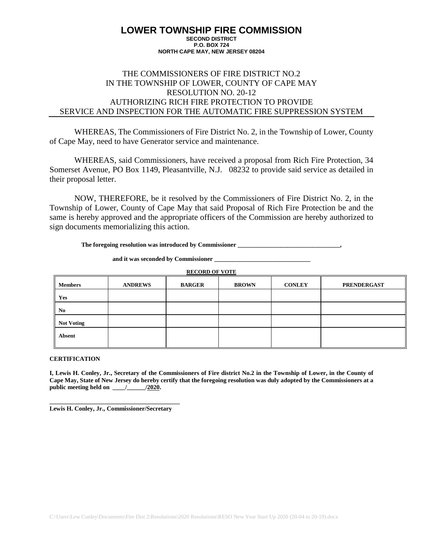# THE COMMISSIONERS OF FIRE DISTRICT NO.2 IN THE TOWNSHIP OF LOWER, COUNTY OF CAPE MAY RESOLUTION NO. 20-12 AUTHORIZING RICH FIRE PROTECTION TO PROVIDE SERVICE AND INSPECTION FOR THE AUTOMATIC FIRE SUPPRESSION SYSTEM

WHEREAS, The Commissioners of Fire District No. 2, in the Township of Lower, County of Cape May, need to have Generator service and maintenance.

WHEREAS, said Commissioners, have received a proposal from Rich Fire Protection, 34 Somerset Avenue, PO Box 1149, Pleasantville, N.J. 08232 to provide said service as detailed in their proposal letter.

NOW, THEREFORE, be it resolved by the Commissioners of Fire District No. 2, in the Township of Lower, County of Cape May that said Proposal of Rich Fire Protection be and the same is hereby approved and the appropriate officers of the Commission are hereby authorized to sign documents memorializing this action.

**The foregoing resolution was introduced by Commissioner \_\_\_\_\_\_\_\_\_\_\_\_\_\_\_\_\_\_\_\_\_\_\_\_\_\_\_\_\_\_\_\_\_,**

**and it was seconded by Commissioner \_\_\_\_\_\_\_\_\_\_\_\_\_\_\_\_\_\_\_\_\_\_\_\_\_\_\_\_\_\_\_**

**RECORD OF VOTE**

| <b>Members</b>           | <b>ANDREWS</b> | <b>BARGER</b> | <b>BROWN</b> | <b>CONLEY</b> | <b>PRENDERGAST</b> |
|--------------------------|----------------|---------------|--------------|---------------|--------------------|
| Yes                      |                |               |              |               |                    |
| II.<br>No                |                |               |              |               |                    |
| II.<br><b>Not Voting</b> |                |               |              |               |                    |
| Absent                   |                |               |              |               |                    |

#### **CERTIFICATION**

**I, Lewis H. Conley, Jr., Secretary of the Commissioners of Fire district No.2 in the Township of Lower, in the County of Cape May, State of New Jersey do hereby certify that the foregoing resolution was duly adopted by the Commissioners at a public meeting held on \_\_\_\_/\_\_\_\_\_\_/2020.**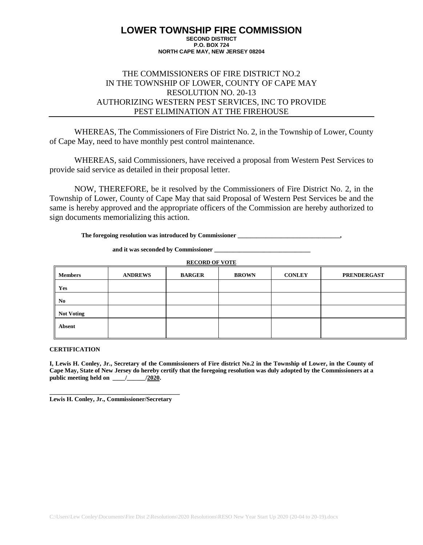### THE COMMISSIONERS OF FIRE DISTRICT NO.2 IN THE TOWNSHIP OF LOWER, COUNTY OF CAPE MAY RESOLUTION NO. 20-13 AUTHORIZING WESTERN PEST SERVICES, INC TO PROVIDE PEST ELIMINATION AT THE FIREHOUSE

WHEREAS, The Commissioners of Fire District No. 2, in the Township of Lower, County of Cape May, need to have monthly pest control maintenance.

WHEREAS, said Commissioners, have received a proposal from Western Pest Services to provide said service as detailed in their proposal letter.

NOW, THEREFORE, be it resolved by the Commissioners of Fire District No. 2, in the Township of Lower, County of Cape May that said Proposal of Western Pest Services be and the same is hereby approved and the appropriate officers of the Commission are hereby authorized to sign documents memorializing this action.

**The foregoing resolution was introduced by Commissioner \_\_\_\_\_\_\_\_\_\_\_\_\_\_\_\_\_\_\_\_\_\_\_\_\_\_\_\_\_\_\_\_\_,**

**and it was seconded by Commissioner \_\_\_\_\_\_\_\_\_\_\_\_\_\_\_\_\_\_\_\_\_\_\_\_\_\_\_\_\_\_\_**

**RECORD OF VOTE**

| <b>Members</b>          | <b>ANDREWS</b> | <b>BARGER</b> | <b>BROWN</b> | <b>CONLEY</b> | <b>PRENDERGAST</b> |
|-------------------------|----------------|---------------|--------------|---------------|--------------------|
| Yes                     |                |               |              |               |                    |
| ∥<br>No                 |                |               |              |               |                    |
| II<br><b>Not Voting</b> |                |               |              |               |                    |
| Absent                  |                |               |              |               |                    |

### **CERTIFICATION**

**I, Lewis H. Conley, Jr., Secretary of the Commissioners of Fire district No.2 in the Township of Lower, in the County of Cape May, State of New Jersey do hereby certify that the foregoing resolution was duly adopted by the Commissioners at a public meeting held on \_\_\_\_/\_\_\_\_\_\_/2020.**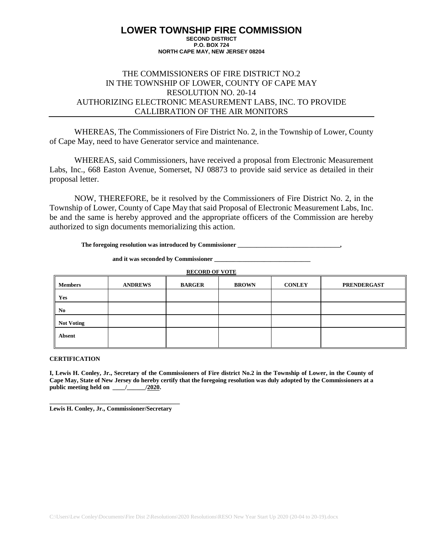# THE COMMISSIONERS OF FIRE DISTRICT NO.2 IN THE TOWNSHIP OF LOWER, COUNTY OF CAPE MAY RESOLUTION NO. 20-14 AUTHORIZING ELECTRONIC MEASUREMENT LABS, INC. TO PROVIDE CALLIBRATION OF THE AIR MONITORS

WHEREAS, The Commissioners of Fire District No. 2, in the Township of Lower, County of Cape May, need to have Generator service and maintenance.

WHEREAS, said Commissioners, have received a proposal from Electronic Measurement Labs, Inc., 668 Easton Avenue, Somerset, NJ 08873 to provide said service as detailed in their proposal letter.

NOW, THEREFORE, be it resolved by the Commissioners of Fire District No. 2, in the Township of Lower, County of Cape May that said Proposal of Electronic Measurement Labs, Inc. be and the same is hereby approved and the appropriate officers of the Commission are hereby authorized to sign documents memorializing this action.

**The foregoing resolution was introduced by Commissioner \_\_\_\_\_\_\_\_\_\_\_\_\_\_\_\_\_\_\_\_\_\_\_\_\_\_\_\_\_\_\_\_\_,**

**and it was seconded by Commissioner \_\_\_\_\_\_\_\_\_\_\_\_\_\_\_\_\_\_\_\_\_\_\_\_\_\_\_\_\_\_\_**

**RECORD OF VOTE**

| <b>Members</b>    | <b>ANDREWS</b> | <b>BARGER</b> | <b>BROWN</b> | <b>CONLEY</b> | <b>PRENDERGAST</b> |
|-------------------|----------------|---------------|--------------|---------------|--------------------|
| Yes               |                |               |              |               |                    |
| No                |                |               |              |               |                    |
| <b>Not Voting</b> |                |               |              |               |                    |
| Absent            |                |               |              |               |                    |

#### **CERTIFICATION**

**I, Lewis H. Conley, Jr., Secretary of the Commissioners of Fire district No.2 in the Township of Lower, in the County of Cape May, State of New Jersey do hereby certify that the foregoing resolution was duly adopted by the Commissioners at a public meeting held on \_\_\_\_/\_\_\_\_\_\_/2020.**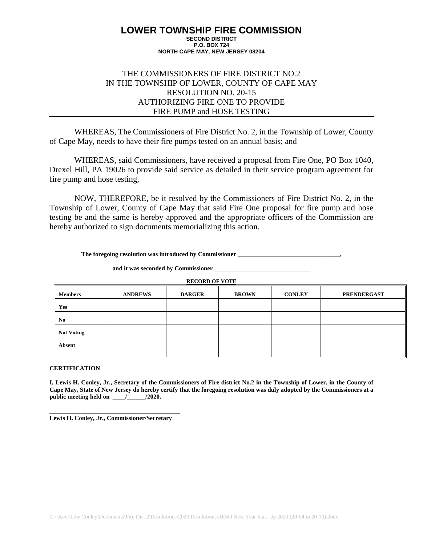### THE COMMISSIONERS OF FIRE DISTRICT NO.2 IN THE TOWNSHIP OF LOWER, COUNTY OF CAPE MAY RESOLUTION NO. 20-15 AUTHORIZING FIRE ONE TO PROVIDE FIRE PUMP and HOSE TESTING

WHEREAS, The Commissioners of Fire District No. 2, in the Township of Lower, County of Cape May, needs to have their fire pumps tested on an annual basis; and

WHEREAS, said Commissioners, have received a proposal from Fire One, PO Box 1040, Drexel Hill, PA 19026 to provide said service as detailed in their service program agreement for fire pump and hose testing,

NOW, THEREFORE, be it resolved by the Commissioners of Fire District No. 2, in the Township of Lower, County of Cape May that said Fire One proposal for fire pump and hose testing be and the same is hereby approved and the appropriate officers of the Commission are hereby authorized to sign documents memorializing this action.

**The foregoing resolution was introduced by Commissioner \_\_\_\_\_\_\_\_\_\_\_\_\_\_\_\_\_\_\_\_\_\_\_\_\_\_\_\_\_\_\_\_\_,**

and it was seconded by Commissioner

**RECORD OF VOTE**

| <b>Members</b>    | <b>ANDREWS</b> | <b>BARGER</b> | <b>BROWN</b> | <b>CONLEY</b> | <b>PRENDERGAST</b> |
|-------------------|----------------|---------------|--------------|---------------|--------------------|
| Yes               |                |               |              |               |                    |
| No                |                |               |              |               |                    |
| <b>Not Voting</b> |                |               |              |               |                    |
| <b>Absent</b>     |                |               |              |               |                    |

#### **CERTIFICATION**

**I, Lewis H. Conley, Jr., Secretary of the Commissioners of Fire district No.2 in the Township of Lower, in the County of Cape May, State of New Jersey do hereby certify that the foregoing resolution was duly adopted by the Commissioners at a public meeting held on \_\_\_\_/\_\_\_\_\_\_/2020.**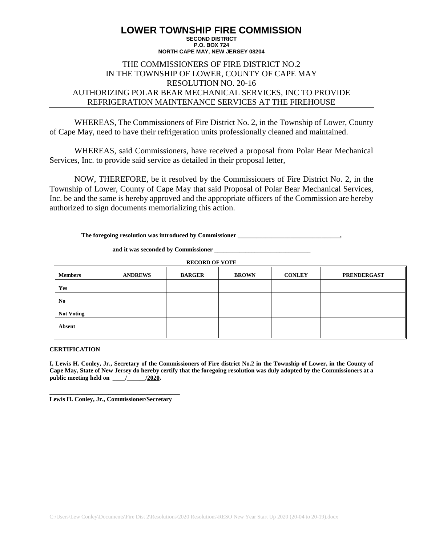#### **LOWER TOWNSHIP FIRE COMMISSION SECOND DISTRICT P.O. BOX 724**

#### **NORTH CAPE MAY, NEW JERSEY 08204**

### THE COMMISSIONERS OF FIRE DISTRICT NO.2 IN THE TOWNSHIP OF LOWER, COUNTY OF CAPE MAY RESOLUTION NO. 20-16 AUTHORIZING POLAR BEAR MECHANICAL SERVICES, INC TO PROVIDE REFRIGERATION MAINTENANCE SERVICES AT THE FIREHOUSE

WHEREAS, The Commissioners of Fire District No. 2, in the Township of Lower, County of Cape May, need to have their refrigeration units professionally cleaned and maintained.

WHEREAS, said Commissioners, have received a proposal from Polar Bear Mechanical Services, Inc. to provide said service as detailed in their proposal letter,

NOW, THEREFORE, be it resolved by the Commissioners of Fire District No. 2, in the Township of Lower, County of Cape May that said Proposal of Polar Bear Mechanical Services, Inc. be and the same is hereby approved and the appropriate officers of the Commission are hereby authorized to sign documents memorializing this action.

The foregoing resolution was introduced by Commissioner **\_\_\_\_\_\_\_\_\_\_\_\_\_\_\_\_\_\_\_\_\_\_\_** 

**and it was seconded by Commissioner \_\_\_\_\_\_\_\_\_\_\_\_\_\_\_\_\_\_\_\_\_\_\_\_\_\_\_\_\_\_\_**

**RECORD OF VOTE**

| <b>Members</b>    | <b>ANDREWS</b> | <b>BARGER</b> | <b>BROWN</b> | <b>CONLEY</b> | <b>PRENDERGAST</b> |
|-------------------|----------------|---------------|--------------|---------------|--------------------|
| Yes               |                |               |              |               |                    |
| N <sub>0</sub>    |                |               |              |               |                    |
| <b>Not Voting</b> |                |               |              |               |                    |
| <b>Absent</b>     |                |               |              |               |                    |

### **CERTIFICATION**

**I, Lewis H. Conley, Jr., Secretary of the Commissioners of Fire district No.2 in the Township of Lower, in the County of Cape May, State of New Jersey do hereby certify that the foregoing resolution was duly adopted by the Commissioners at a public meeting held on \_\_\_\_/\_\_\_\_\_\_/2020.**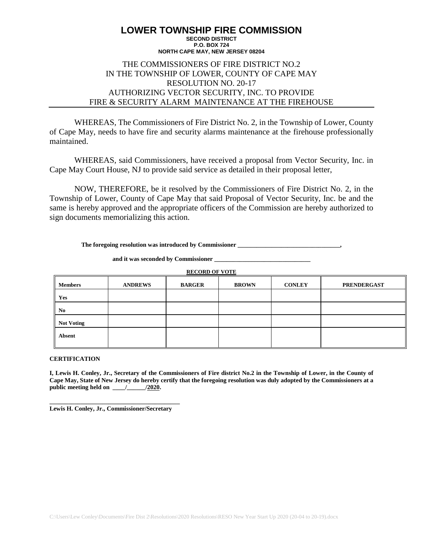### THE COMMISSIONERS OF FIRE DISTRICT NO.2 IN THE TOWNSHIP OF LOWER, COUNTY OF CAPE MAY RESOLUTION NO. 20-17 AUTHORIZING VECTOR SECURITY, INC. TO PROVIDE FIRE & SECURITY ALARM MAINTENANCE AT THE FIREHOUSE

WHEREAS, The Commissioners of Fire District No. 2, in the Township of Lower, County of Cape May, needs to have fire and security alarms maintenance at the firehouse professionally maintained.

WHEREAS, said Commissioners, have received a proposal from Vector Security, Inc. in Cape May Court House, NJ to provide said service as detailed in their proposal letter,

NOW, THEREFORE, be it resolved by the Commissioners of Fire District No. 2, in the Township of Lower, County of Cape May that said Proposal of Vector Security, Inc. be and the same is hereby approved and the appropriate officers of the Commission are hereby authorized to sign documents memorializing this action.

**The foregoing resolution was introduced by Commissioner \_\_\_\_\_\_\_\_\_\_\_\_\_\_\_\_\_\_\_\_\_\_\_\_\_\_\_\_\_\_\_\_\_,**

**and it was seconded by Commissioner \_\_\_\_\_\_\_\_\_\_\_\_\_\_\_\_\_\_\_\_\_\_\_\_\_\_\_\_\_\_\_**

**RECORD OF VOTE**

| <b>Members</b>    | <b>ANDREWS</b> | <b>BARGER</b> | <b>BROWN</b> | <b>CONLEY</b> | <b>PRENDERGAST</b> |
|-------------------|----------------|---------------|--------------|---------------|--------------------|
| Yes               |                |               |              |               |                    |
| N <sub>0</sub>    |                |               |              |               |                    |
| <b>Not Voting</b> |                |               |              |               |                    |
| <b>Absent</b>     |                |               |              |               |                    |

#### **CERTIFICATION**

**I, Lewis H. Conley, Jr., Secretary of the Commissioners of Fire district No.2 in the Township of Lower, in the County of Cape May, State of New Jersey do hereby certify that the foregoing resolution was duly adopted by the Commissioners at a public meeting held on \_\_\_\_/\_\_\_\_\_\_/2020.**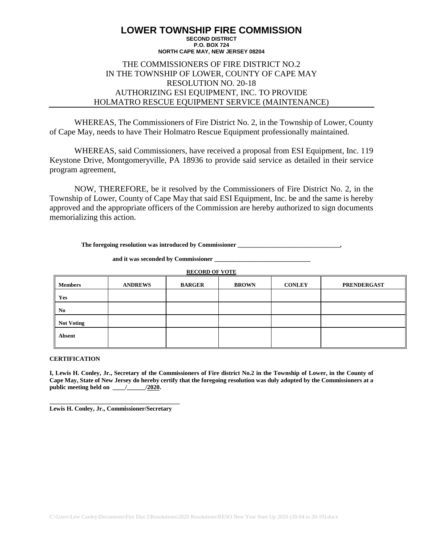### THE COMMISSIONERS OF FIRE DISTRICT NO.2 IN THE TOWNSHIP OF LOWER, COUNTY OF CAPE MAY RESOLUTION NO. 20-18 AUTHORIZING ESI EQUIPMENT, INC. TO PROVIDE HOLMATRO RESCUE EQUIPMENT SERVICE (MAINTENANCE)

WHEREAS, The Commissioners of Fire District No. 2, in the Township of Lower, County of Cape May, needs to have Their Holmatro Rescue Equipment professionally maintained.

WHEREAS, said Commissioners, have received a proposal from ESI Equipment, Inc. 119 Keystone Drive, Montgomeryville, PA 18936 to provide said service as detailed in their service program agreement,

NOW, THEREFORE, be it resolved by the Commissioners of Fire District No. 2, in the Township of Lower, County of Cape May that said ESI Equipment, Inc. be and the same is hereby approved and the appropriate officers of the Commission are hereby authorized to sign documents memorializing this action.

**The foregoing resolution was introduced by Commissioner \_\_\_\_\_\_\_\_\_\_\_\_\_\_\_\_\_\_\_\_\_\_\_\_\_\_\_\_\_\_\_\_\_,**

and it was seconded by Commissioner

**RECORD OF VOTE**

| <b>Members</b>    | <b>ANDREWS</b> | <b>BARGER</b> | <b>BROWN</b> | <b>CONLEY</b> | <b>PRENDERGAST</b> |
|-------------------|----------------|---------------|--------------|---------------|--------------------|
| Yes               |                |               |              |               |                    |
| N <sub>0</sub>    |                |               |              |               |                    |
| <b>Not Voting</b> |                |               |              |               |                    |
| <b>Absent</b>     |                |               |              |               |                    |

#### **CERTIFICATION**

**I, Lewis H. Conley, Jr., Secretary of the Commissioners of Fire district No.2 in the Township of Lower, in the County of Cape May, State of New Jersey do hereby certify that the foregoing resolution was duly adopted by the Commissioners at a public meeting held on \_\_\_\_/\_\_\_\_\_\_/2020.**